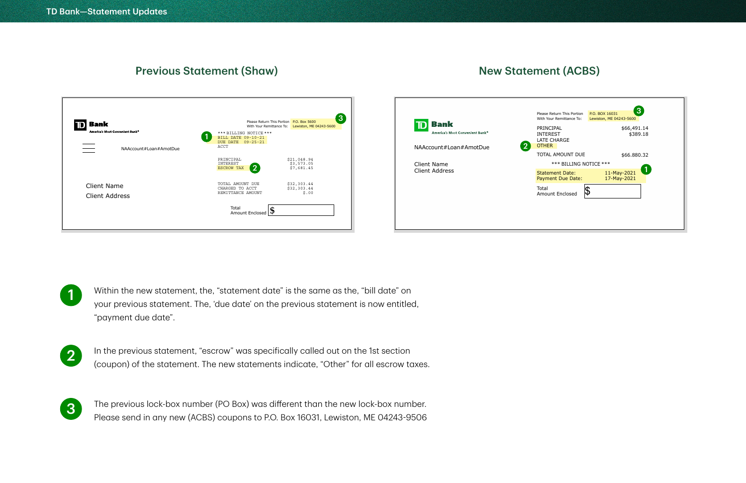

## New Statement (ACBS)



| Return This Portion<br>bur Remittance To: | 3<br>P.O. BOX 16031<br>Lewiston, ME 04243-5600 |
|-------------------------------------------|------------------------------------------------|
| CIPAL<br>REST<br><b>CHARGE</b><br>R       | \$66,491.14<br>\$389.18                        |
| L AMOUNT DUE                              | \$66.880.32                                    |
| *** BILLING NOTICE ***                    |                                                |
| ment Date:<br>ent Due Date:               | 11-May-2021<br>17-May-2021                     |
| int Enclosed                              |                                                |
|                                           |                                                |
|                                           |                                                |
|                                           |                                                |

- 1 Within the new statement, the, "statement date" is the same as the, "bill date" on your previous statement. The, 'due date' on the previous statement is now entitled, "payment due date".
- 2

In the previous statement, "escrow" was specifically called out on the 1st section (coupon) of the statement. The new statements indicate, "Other" for all escrow taxes.



The previous lock-box number (PO Box) was different than the new lock-box number. Please send in any new (ACBS) coupons to P.O. Box 16031, Lewiston, ME 04243-9506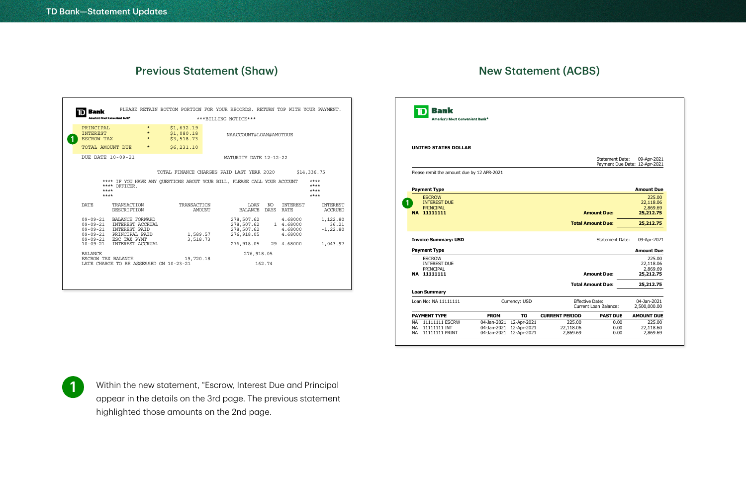## New Statement (ACBS)

| <b>Bank</b>                                                          |                                                                               |                               | PLEASE RETAIN BOTTOM PORTION FOR YOUR RECORDS. RETURN TOP WITH YOUR PAYMENT. |        |                                                      |              |                                            |                                   |
|----------------------------------------------------------------------|-------------------------------------------------------------------------------|-------------------------------|------------------------------------------------------------------------------|--------|------------------------------------------------------|--------------|--------------------------------------------|-----------------------------------|
|                                                                      | America's Most Convenient Bank®                                               |                               |                                                                              |        | ***BILLING NOTICE***                                 |              |                                            |                                   |
| PRINCIPAL<br><b>INTEREST</b><br><b>ESCROW TAX</b>                    |                                                                               | $\star$<br>$\star$<br>$\star$ | \$1,632.19<br>\$1,080.18<br>\$3,518.73                                       |        | NAACCOUNT#LOAN#AMOTDUE                               |              |                                            |                                   |
| TOTAL AMOUNT DUE                                                     |                                                                               | $\star$                       | \$6,231.10                                                                   |        |                                                      |              |                                            |                                   |
|                                                                      | DUE DATE 10-09-21                                                             |                               |                                                                              |        | MATURITY DATE 12-12-22                               |              |                                            |                                   |
|                                                                      |                                                                               |                               | TOTAL FINANCE CHARGES PAID LAST YEAR 2020                                    |        |                                                      |              |                                            | \$14,336.75                       |
|                                                                      |                                                                               |                               |                                                                              |        |                                                      |              |                                            | $***$                             |
|                                                                      | **** OFFICER.<br>$***$<br>$***$                                               |                               | **** IF YOU HAVE ANY QUESTIONS ABOUT YOUR BILL, PLEASE CALL YOUR ACCOUNT     |        |                                                      |              |                                            | $***$<br>$***$<br>$***$           |
| <b>DATE</b>                                                          | TRANSACTION<br>DESCRIPTION                                                    |                               | TRANSACTION                                                                  | AMOUNT | LOAN<br>BALANCE                                      | NO<br>DAYS   | INTEREST<br>RATE                           | <b>INTEREST</b><br><b>ACCRUED</b> |
| $09 - 09 - 21$<br>$09 - 09 - 21$<br>$09 - 09 - 21$<br>$09 - 09 - 21$ | BALANCE FORWARD<br>INTEREST ACCRUAL<br><b>INTEREST PAID</b><br>PRINCIPAL PAID |                               | 1,589.57                                                                     |        | 278,507.62<br>278,507.62<br>278,507.62<br>276,918.05 |              | 4.68000<br>1 4.68000<br>4.68000<br>4.68000 | 1,122.80<br>36.21<br>$-1, 22.80$  |
| $09 - 09 - 21$<br>$10 - 09 - 21$                                     | ESC TAX PYMT<br>INTEREST ACCRUAL                                              |                               | 3,518.73                                                                     |        | 276,918.05                                           |              | 29 4.68000                                 |                                   |
| <b>BALANCE</b>                                                       | ESCROW TAX BALANCE                                                            |                               | 19,720.18                                                                    |        |                                                      | 276, 918, 05 |                                            | 1,043.97                          |

| <b>Bank</b><br>America's Most Convenient Bank®           |             |               |                        |                              |                                              |
|----------------------------------------------------------|-------------|---------------|------------------------|------------------------------|----------------------------------------------|
| <b>UNITED STATES DOLLAR</b>                              |             |               |                        |                              |                                              |
|                                                          |             |               |                        | Statement Date:              | 09-Apr-2021<br>Payment Due Date: 12-Apr-2021 |
| Please remit the amount due by 12 APR-2021               |             |               |                        |                              |                                              |
| <b>Payment Type</b>                                      |             |               |                        |                              | <b>Amount Due</b>                            |
| <b>ESCROW</b><br><b>INTEREST DUE</b><br><b>PRINCIPAL</b> |             |               |                        |                              | 225.00<br>22,118.06<br>2,869.69              |
| NA 11111111                                              |             |               |                        | <b>Amount Due:</b>           | 25,212.75                                    |
|                                                          |             |               |                        | <b>Total Amount Due:</b>     | 25,212.75                                    |
| <b>Invoice Summary: USD</b>                              |             |               |                        | <b>Statement Date:</b>       | 09-Apr-2021                                  |
| <b>Payment Type</b>                                      |             |               |                        |                              | <b>Amount Due</b>                            |
| <b>ESCROW</b><br><b>INTEREST DUE</b><br><b>PRINCIPAL</b> |             |               |                        |                              | 225.00<br>22,118.06<br>2,869.69              |
| NA 11111111                                              |             |               |                        | <b>Amount Due:</b>           | 25,212.75                                    |
|                                                          |             |               |                        | <b>Total Amount Due:</b>     | 25,212.75                                    |
| <b>Loan Summary</b>                                      |             |               |                        |                              |                                              |
| Loan No: NA 11111111                                     |             | Currency: USD | <b>Effective Date:</b> | <b>Current Loan Balance:</b> | 04-Jan-2021<br>2,500,000.00                  |
|                                                          | <b>FROM</b> | <b>TO</b>     | <b>CURRENT PERIOD</b>  | <b>PAST DUE</b>              | <b>AMOUNT DUE</b>                            |
| <b>PAYMENT TYPE</b>                                      |             |               |                        |                              |                                              |



Within the new statement, "Escrow, Interest Due and Principal appear in the details on the 3rd page. The previous statement highlighted those amounts on the 2nd page.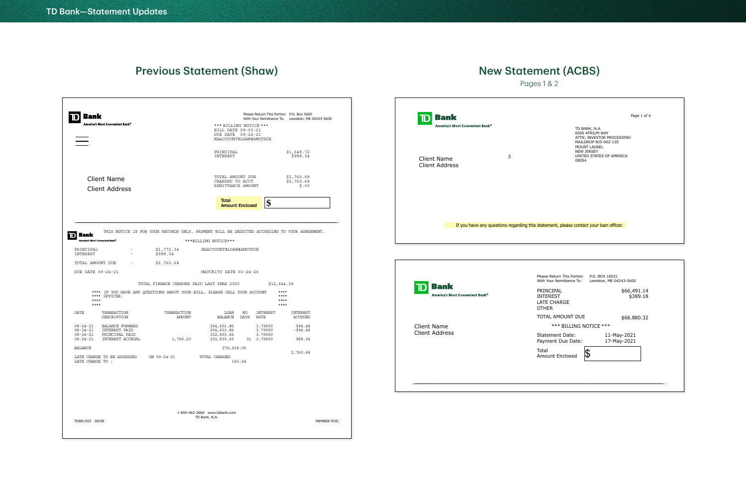|                                                                                                                   | Bank<br>America's Most Convenient Bank®                                       |                                                                                                                       | *** BILLING NOTICE ***<br>BILL DATE 09-03-21             |                                             | Please Return This Portion P.O. Box 5600<br>With Your Remittance To: Lewiston, ME 04243-5600 |
|-------------------------------------------------------------------------------------------------------------------|-------------------------------------------------------------------------------|-----------------------------------------------------------------------------------------------------------------------|----------------------------------------------------------|---------------------------------------------|----------------------------------------------------------------------------------------------|
|                                                                                                                   |                                                                               |                                                                                                                       | DUE DATE 09-24-21<br>NAACCOUNT#LOAN#AMOTDUE              |                                             |                                                                                              |
|                                                                                                                   |                                                                               |                                                                                                                       | PRINCIPAL<br>INTEREST                                    |                                             | \$1,549.72<br>\$988.34                                                                       |
|                                                                                                                   | <b>Client Name</b><br><b>Client Address</b>                                   |                                                                                                                       | TOTAL AMOUNT DUE<br>CHARGED TO ACCT<br>REMITTANCE AMOUNT |                                             | \$2,760.68<br>\$2,760.68<br>\$.00                                                            |
|                                                                                                                   |                                                                               |                                                                                                                       | <b>Total</b><br><b>Amount Enclosed</b>                   | \$                                          |                                                                                              |
| America's Most Convenient Bank®<br>PRINCIPAL<br>INTEREST<br>TOTAL AMOUNT DUE                                      | $\sim$                                                                        | \$1,772.34<br>\$998.34<br>\$2,760.68                                                                                  | ***BILLING NOTICE***<br>NAACCOUNT#LOAN#AMOTDUE           |                                             |                                                                                              |
| DUE DATE 09-24-21                                                                                                 |                                                                               |                                                                                                                       | MATURITY DATE 03-24-26                                   |                                             |                                                                                              |
| $***$                                                                                                             | **** OFFICER.                                                                 | TOTAL FINANCE CHARGES PAID LAST YEAR 2020<br>**** IF YOU HAVE ANY QUESTIONS ABOUT YOUR BILL, PLEASE CALL YOUR ACCOUNT |                                                          |                                             | \$12,644.39<br>****<br>****<br>****<br>$***$                                                 |
| $***$                                                                                                             |                                                                               |                                                                                                                       |                                                          |                                             |                                                                                              |
|                                                                                                                   | TRANSACTION<br>DESCRIPTION                                                    | TRANSACTION<br>AMOUNT                                                                                                 | LOAN<br>NO<br>BALANCE<br>DAYS                            | INTEREST<br>RATE                            | <b>INTEREST</b><br>ACCRUED                                                                   |
|                                                                                                                   | BALANCE FORWARD<br><b>INTEREST PAID</b><br>PRINCIPAL PAID<br>INTEREST ACCRUAL | 1,766.20                                                                                                              | 304,601.86<br>304,601.86<br>302,835.66<br>302,835.66     | 3.79000<br>3.79000<br>3.79000<br>31 3.79000 | 994.48<br>$-994.48$<br>988.34                                                                |
|                                                                                                                   | LATE CHARGE TO BE ASSESSED                                                    | ON 09-24-21                                                                                                           | 276, 918.05<br>TOTAL CHARGED                             |                                             | 2,760.68                                                                                     |
| <b>DATE</b><br>$08 - 24 - 21$<br>$08 - 24 - 21$<br>$08 - 24 - 21$<br>$08 - 24 - 21$<br>BALANCE<br>LATE CHARGE TO: |                                                                               |                                                                                                                       | 165.64                                                   |                                             |                                                                                              |

## Pages 1 & 2 New Statement (ACBS)

TD BANK, N.A. 6000 ATRIUM WAY ATTN: INVESTOR PROCESSING MAILDROP NJ5-002-135 MOUNT LAUREL NEW JERSEY UNITED STATES OF AMERICA 08054

Page 1 of 4

Client Name Client Address

**D** Bank

America's Most Convenient Bank®

3

| P.O. BOX 16031<br>Lewiston, ME 04243-5600 |
|-------------------------------------------|
| \$66,491.14<br>\$389.18                   |
| \$66.880.32                               |
| *** BILLING NOTICE ***                    |
| 11-May-2021<br>17-May-2021                |
|                                           |
|                                           |
|                                           |
|                                           |

Client Name Client Address

**D** Bank

America's Most Convenient Bank®

If you have any questions regarding this statement, please contact your loan officer.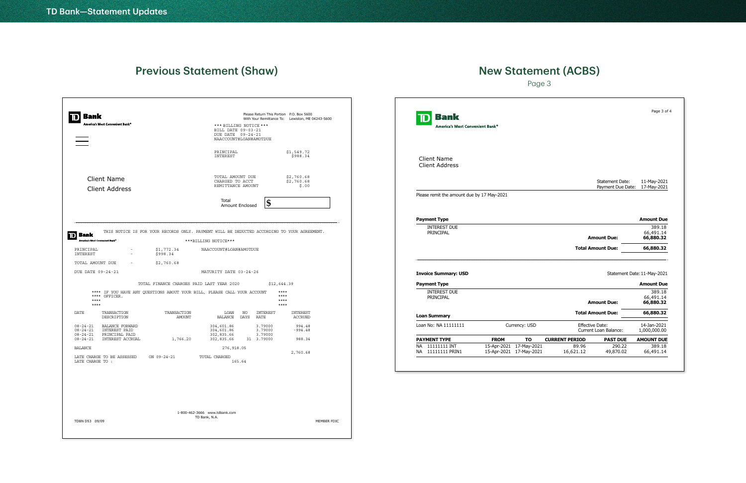## Page 3 New Statement (ACBS)

|                        |                                                          |                                                                                               |                                                                                                                                                                                                                                            |                                                                                                                                                                                                                                                                                                                                       | <b>Bank</b><br>America's Most Convenient Bank® |                                                    |
|------------------------|----------------------------------------------------------|-----------------------------------------------------------------------------------------------|--------------------------------------------------------------------------------------------------------------------------------------------------------------------------------------------------------------------------------------------|---------------------------------------------------------------------------------------------------------------------------------------------------------------------------------------------------------------------------------------------------------------------------------------------------------------------------------------|------------------------------------------------|----------------------------------------------------|
|                        | PRINCIPAL<br>INTEREST                                    |                                                                                               |                                                                                                                                                                                                                                            |                                                                                                                                                                                                                                                                                                                                       | <b>Client Name</b><br><b>Client Address</b>    |                                                    |
|                        | TOTAL AMOUNT DUE<br>CHARGED TO ACCT<br>REMITTANCE AMOUNT |                                                                                               |                                                                                                                                                                                                                                            |                                                                                                                                                                                                                                                                                                                                       |                                                |                                                    |
|                        | Total<br>Amount Enclosed                                 | \$                                                                                            |                                                                                                                                                                                                                                            |                                                                                                                                                                                                                                                                                                                                       | Please remit the amount due by 17 May-2021     |                                                    |
|                        |                                                          |                                                                                               |                                                                                                                                                                                                                                            |                                                                                                                                                                                                                                                                                                                                       | <b>Payment Type</b>                            |                                                    |
|                        |                                                          |                                                                                               |                                                                                                                                                                                                                                            |                                                                                                                                                                                                                                                                                                                                       | <b>INTEREST DUE</b><br>PRINCIPAL               |                                                    |
| \$1,772.34<br>\$998.34 | NAACCOUNT#LOAN#AMOTDUE                                   |                                                                                               |                                                                                                                                                                                                                                            |                                                                                                                                                                                                                                                                                                                                       |                                                |                                                    |
| \$2,760.68             |                                                          |                                                                                               |                                                                                                                                                                                                                                            |                                                                                                                                                                                                                                                                                                                                       |                                                |                                                    |
|                        | MATURITY DATE 03-24-26                                   |                                                                                               |                                                                                                                                                                                                                                            |                                                                                                                                                                                                                                                                                                                                       | <b>Invoice Summary: USD</b>                    |                                                    |
|                        |                                                          | \$12,644.39                                                                                   |                                                                                                                                                                                                                                            |                                                                                                                                                                                                                                                                                                                                       |                                                |                                                    |
|                        |                                                          | $***$<br>$***$<br>$***$<br>$***$                                                              |                                                                                                                                                                                                                                            |                                                                                                                                                                                                                                                                                                                                       | <b>INTEREST DUE</b><br>PRINCIPAL               |                                                    |
| TRANSACTION<br>AMOUNT  | LOAN<br>NO<br>BALANCE<br>DAYS                            |                                                                                               |                                                                                                                                                                                                                                            |                                                                                                                                                                                                                                                                                                                                       | <b>Loan Summary</b>                            |                                                    |
|                        | 304,601.86<br>304,601.86                                 |                                                                                               |                                                                                                                                                                                                                                            |                                                                                                                                                                                                                                                                                                                                       | Loan No: NA 11111111                           | Currency: USD                                      |
| 1,766.20               | 302,835.66                                               |                                                                                               |                                                                                                                                                                                                                                            |                                                                                                                                                                                                                                                                                                                                       | <b>PAYMENT TYPE</b>                            | <b>FROM</b><br>TO                                  |
| ON 09-24-21            | TOTAL CHARGED<br>165.64                                  |                                                                                               |                                                                                                                                                                                                                                            |                                                                                                                                                                                                                                                                                                                                       | NA 11111111 PRIN1                              | 15-Apr-2021 17-May-2021<br>15-Apr-2021 17-May-2021 |
|                        |                                                          |                                                                                               |                                                                                                                                                                                                                                            |                                                                                                                                                                                                                                                                                                                                       |                                                |                                                    |
|                        |                                                          |                                                                                               |                                                                                                                                                                                                                                            |                                                                                                                                                                                                                                                                                                                                       |                                                |                                                    |
|                        |                                                          | ***BILLING NOTICE***<br>TOTAL FINANCE CHARGES PAID LAST YEAR 2020<br>302,835.66<br>276,918.05 | *** BILLING NOTICE ***<br>BILL DATE 09-03-21<br>DUE DATE 09-24-21<br>NAACCOUNT#LOAN#AMOTDUE<br>**** IF YOU HAVE ANY QUESTIONS ABOUT YOUR BILL, PLEASE CALL YOUR ACCOUNT<br>INTEREST<br>RATE<br>3.79000<br>3.79000<br>3.79000<br>31 3.79000 | Please Return This Portion P.O. Box 5600<br>With Your Remittance To: Lewiston, ME 04243-5600<br>\$1,549.72<br>\$988.34<br>\$2,760.68<br>\$2,760.68<br>\$.00<br>THIS NOTICE IS FOR YOUR RECORDS ONLY. PAYMENT WILL BE DEDUCTED ACCORDING TO YOUR AGREEMENT.<br>INTEREST<br><b>ACCRUED</b><br>994.48<br>$-994.48$<br>988.34<br>2,760.68 |                                                | <b>Payment Type</b><br>NA 11111111 INT             |

| Bank<br>America's Most Convenient Bank®     |                            |                            |                       |                                                 | Page 3 of 4                      |
|---------------------------------------------|----------------------------|----------------------------|-----------------------|-------------------------------------------------|----------------------------------|
| <b>Client Name</b><br><b>Client Address</b> |                            |                            |                       |                                                 |                                  |
|                                             |                            |                            |                       | <b>Statement Date:</b><br>Payment Due Date:     | 11-May-2021<br>17-May-2021       |
| Please remit the amount due by 17 May-2021  |                            |                            |                       |                                                 |                                  |
| <b>Payment Type</b>                         |                            |                            |                       |                                                 | <b>Amount Due</b>                |
| <b>INTEREST DUE</b><br>PRINCIPAL            |                            |                            |                       | <b>Amount Due:</b>                              | 389.18<br>66,491.14<br>66,880.32 |
|                                             |                            |                            |                       | <b>Total Amount Due:</b>                        | 66,880.32                        |
| <b>Invoice Summary: USD</b>                 |                            |                            |                       |                                                 | Statement Date: 11-May-2021      |
| <b>Payment Type</b>                         |                            |                            |                       |                                                 | <b>Amount Due</b>                |
| <b>INTEREST DUE</b><br>PRINCIPAL            |                            |                            |                       | <b>Amount Due:</b>                              | 389.18<br>66,491.14<br>66,880.32 |
| <b>Loan Summary</b>                         |                            |                            |                       | <b>Total Amount Due:</b>                        | 66,880.32                        |
| Loan No: NA 11111111                        |                            | Currency: USD              |                       | Effective Date:<br><b>Current Loan Balance:</b> | 14-Jan-2021<br>1,000,000.00      |
| <b>PAYMENT TYPE</b>                         | <b>FROM</b>                | <b>TO</b>                  | <b>CURRENT PERIOD</b> | <b>PAST DUE</b>                                 | <b>AMOUNT DUE</b>                |
| 11111111 INT<br>ΝA<br>11111111 PRIN1<br>NA  | 15-Apr-2021<br>15-Apr-2021 | 17-May-2021<br>17-May-2021 | 89.96<br>16,621.12    | 290.22<br>49,870.02                             | 389.18<br>66,491.14              |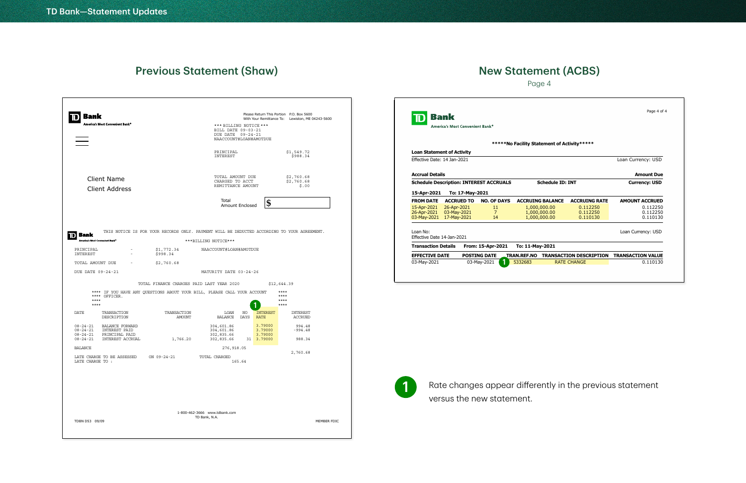#### **D** Bank Please Return This Portion P.O. Box 5600 With Your Remittance To: Lewiston, ME 04243-5600 t Bank<sup>o</sup> \*\*\* BILLING NOTICE \*\*\* BILL DATE 09-03-21 DUE DATE 09-24-21 NAACCOUNT#LOAN#AMOTDUE PRINCIPAL \$1,549.72 INTEREST \$988.34 TOTAL AMOUNT DUE \$2,760.68 Client Name CHARGED TO ACCT \$2,760.68 REMITTANCE AMOUNT \$.00 Client Address Total<br>Amount Enclosed **\$** Total THIS NOTICE IS FOR YOUR RECORDS ONLY. PAYMENT WILL BE DEDUCTED ACCORDING TO YOUR AGREEMENT.  $\mathbf{D}$  Bank ica's Most Co \*\*\*BILLING NOTICE\*\*\* PRINCIPAL - \$1,772.34 NAACCOUNT#LOAN#AMOTDUE INTEREST  $$998.34$ TOTAL AMOUNT DUE - \$2,760.68 DUE DATE 09-24-21 MATURITY DATE 03-24-26 TOTAL FINANCE CHARGES PAID LAST YEAR 2020 \$12,644.39 \*\*\*\* \*\*\*\* IF YOU HAVE ANY QUESTIONS ABOUT YOUR BILL, PLEASE CALL YOUR ACCOUNT \*\*\*\* \*\*\*\* OFFICER. \*\*\*\* \*\*\*\*  $\bf{0}$ \*\*\*\* \*\*\*\* DATE TRANSACTION TRANSACTION INTEREST INTEREST LOAN NO DESCRIPTION ACCRUED AMOUNT BALANCE DAYS <mark>RATE</mark> 304,601.86 3.79000 994.48 08-24-21 BALANCE FORWARD 08-24-21 INTEREST PAID 304,601.86 -994.48 3.79000 3.79000 08-24-21 PRINCIPAL PAID 302,835.66 1,766.20 302,835.66 988.34 08-24-21 INTEREST ACCRUAL 31 3.79000BALANCE 276,918.05 2,760.68 TOTAL CHARGED LATE CHARGE TO BE ASSESSED ON 09-24-21 LATE CHARGE TO : 165.64 1-800-462-3666 www.tdbank.com TD Bank, N.A. TDBN D53 09/09 MEMBER FDIC

## Page 4 New Statement (ACBS)

|                                        | Bank                                           |                     |                                             |                         |                                |
|----------------------------------------|------------------------------------------------|---------------------|---------------------------------------------|-------------------------|--------------------------------|
|                                        | America's Most Convenient Bank®                |                     |                                             |                         |                                |
|                                        |                                                |                     | *****No Facility Statement of Activity***** |                         |                                |
|                                        | <b>Loan Statement of Activity</b>              |                     |                                             |                         |                                |
| Fffective Date: 14 Jan-2021            |                                                |                     |                                             |                         |                                |
| <b>Accrual Details</b>                 |                                                |                     |                                             |                         |                                |
|                                        | <b>Schedule Description: INTEREST ACCRUALS</b> |                     |                                             | <b>Schedule ID: INT</b> |                                |
|                                        |                                                |                     |                                             |                         |                                |
| 15-Apr-2021                            | To: 17-May-2021                                |                     |                                             |                         |                                |
| <b>FROM DATE</b>                       | <b>ACCRUED TO</b>                              | <b>NO. OF DAYS</b>  | <b>ACCRUING BALANCE</b>                     |                         | <b>ACCRUING RATE</b>           |
| 15-Apr-2021                            | 26-Apr-2021                                    | 11                  | 1,000,000.00                                |                         | 0.112250                       |
| 26-Apr-2021                            | 03-May-2021                                    | $\overline{7}$      | 1,000,000.00                                |                         | 0.112250                       |
| 03-May-2021                            | 17-May-2021                                    | 14                  | 1,000,000.00                                |                         | 0.110130                       |
|                                        |                                                |                     |                                             |                         |                                |
| Loan No:<br>Effective Date 14-Jan-2021 |                                                |                     |                                             |                         |                                |
| <b>Transaction Details</b>             |                                                | From: 15-Apr-2021   | To: 11-May-2021                             |                         |                                |
| <b>EFFECTIVE DATE</b>                  |                                                | <b>POSTING DATE</b> | TRAN.REF.NO                                 |                         | <b>TRANSACTION DESCRIPTION</b> |
| 03-May-2021                            |                                                | 03-May-2021         | 5332683                                     |                         | <b>RATE CHANGE</b>             |
|                                        |                                                |                     |                                             |                         |                                |

| Page 4 of 4              |                                |                         |
|--------------------------|--------------------------------|-------------------------|
|                          | atement of Activity*****       |                         |
| Loan Currency: USD       |                                |                         |
| <b>Amount Due</b>        |                                |                         |
| <b>Currency: USD</b>     |                                | <b>Schedule ID: INT</b> |
|                          |                                |                         |
| <b>AMOUNT ACCRUED</b>    | <b>ACCRUING RATE</b>           | <b>IG BALANCE</b>       |
| 0.112250                 | 0.112250                       | ,000.00                 |
| 0.112250                 | 0.112250                       |                         |
| 0.110130                 | 0.110130                       | ,000.00<br>,000.00      |
| Loan Currency: USD       |                                |                         |
|                          |                                | ay-2021                 |
| <b>TRANSACTION VALUE</b> | <b>TRANSACTION DESCRIPTION</b> |                         |



## Rate changes appear differently in the previous statement

versus the new statement.